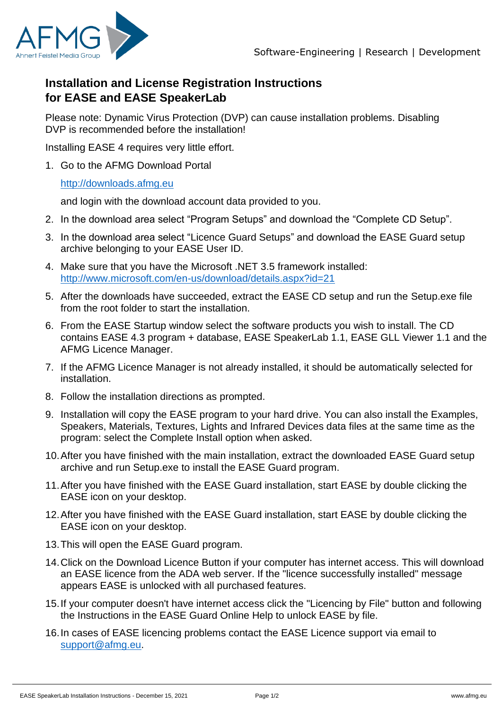

## **Installation and License Registration Instructions for EASE and EASE SpeakerLab**

Please note: Dynamic Virus Protection (DVP) can cause installation problems. Disabling DVP is recommended before the installation!

Installing EASE 4 requires very little effort.

1. Go to the AFMG Download Portal

## [http://downloads.afmg.eu](http://downloads.afmg.eu/)

and login with the download account data provided to you.

- 2. In the download area select "Program Setups" and download the "Complete CD Setup".
- 3. In the download area select "Licence Guard Setups" and download the EASE Guard setup archive belonging to your EASE User ID.
- 4. Make sure that you have the Microsoft .NET 3.5 framework installed: <http://www.microsoft.com/en-us/download/details.aspx?id=21>
- 5. After the downloads have succeeded, extract the EASE CD setup and run the Setup.exe file from the root folder to start the installation.
- 6. From the EASE Startup window select the software products you wish to install. The CD contains EASE 4.3 program + database, EASE SpeakerLab 1.1, EASE GLL Viewer 1.1 and the AFMG Licence Manager.
- 7. If the AFMG Licence Manager is not already installed, it should be automatically selected for installation.
- 8. Follow the installation directions as prompted.
- 9. Installation will copy the EASE program to your hard drive. You can also install the Examples, Speakers, Materials, Textures, Lights and Infrared Devices data files at the same time as the program: select the Complete Install option when asked.
- 10.After you have finished with the main installation, extract the downloaded EASE Guard setup archive and run Setup.exe to install the EASE Guard program.
- 11.After you have finished with the EASE Guard installation, start EASE by double clicking the EASE icon on your desktop.
- 12.After you have finished with the EASE Guard installation, start EASE by double clicking the EASE icon on your desktop.
- 13.This will open the EASE Guard program.
- 14.Click on the Download Licence Button if your computer has internet access. This will download an EASE licence from the ADA web server. If the "licence successfully installed" message appears EASE is unlocked with all purchased features.
- 15.If your computer doesn't have internet access click the "Licencing by File" button and following the Instructions in the EASE Guard Online Help to unlock EASE by file.
- 16.In cases of EASE licencing problems contact the EASE Licence support via email to [support@afmg.eu.](mailto:support@afmg.eu)